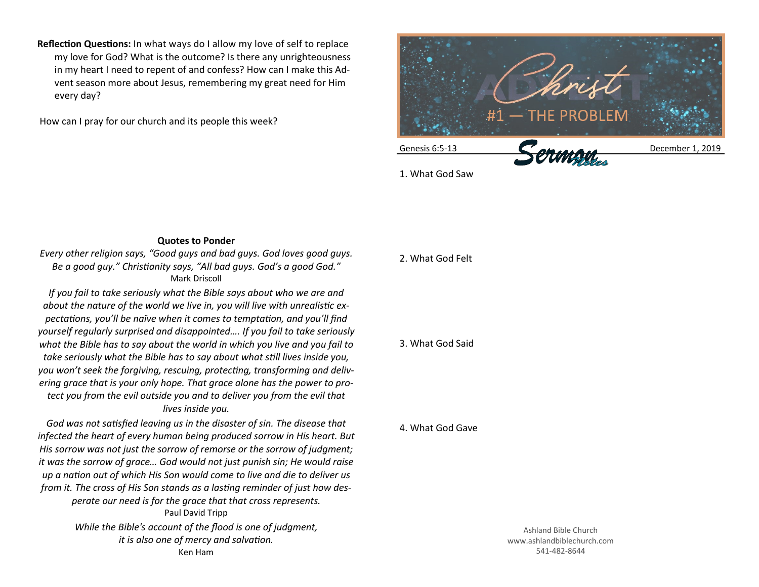**Reflection Questions:** In what ways do I allow my love of self to replace my love for God? What is the outcome? Is there any unrighteousness in my heart I need to repent of and confess? How can I make this Advent season more about Jesus, remembering my great need for Him every day?

How can I pray for our church and its people this week?



1. What God Saw

## **Quotes to Ponder**

*Every other religion says, "Good guys and bad guys. God loves good guys. Be a good guy." Christianity says, "All bad guys. God's a good God."* Mark Driscoll

*If you fail to take seriously what the Bible says about who we are and about the nature of the world we live in, you will live with unrealistic expectations, you'll be naïve when it comes to temptation, and you'll find yourself regularly surprised and disappointed…. If you fail to take seriously what the Bible has to say about the world in which you live and you fail to take seriously what the Bible has to say about what still lives inside you, you won't seek the forgiving, rescuing, protecting, transforming and delivering grace that is your only hope. That grace alone has the power to protect you from the evil outside you and to deliver you from the evil that lives inside you.*

*God was not satisfied leaving us in the disaster of sin. The disease that infected the heart of every human being produced sorrow in His heart. But His sorrow was not just the sorrow of remorse or the sorrow of judgment; it was the sorrow of grace… God would not just punish sin; He would raise up a nation out of which His Son would come to live and die to deliver us from it. The cross of His Son stands as a lasting reminder of just how desperate our need is for the grace that that cross represents.* Paul David Tripp *While the Bible's account of the flood is one of judgment, it is also one of mercy and salvation.* Ken Ham

## 2. What God Felt

## 3. What God Said

## 4. What God Gave

Ashland Bible Church www.ashlandbiblechurch.com 541-482-8644